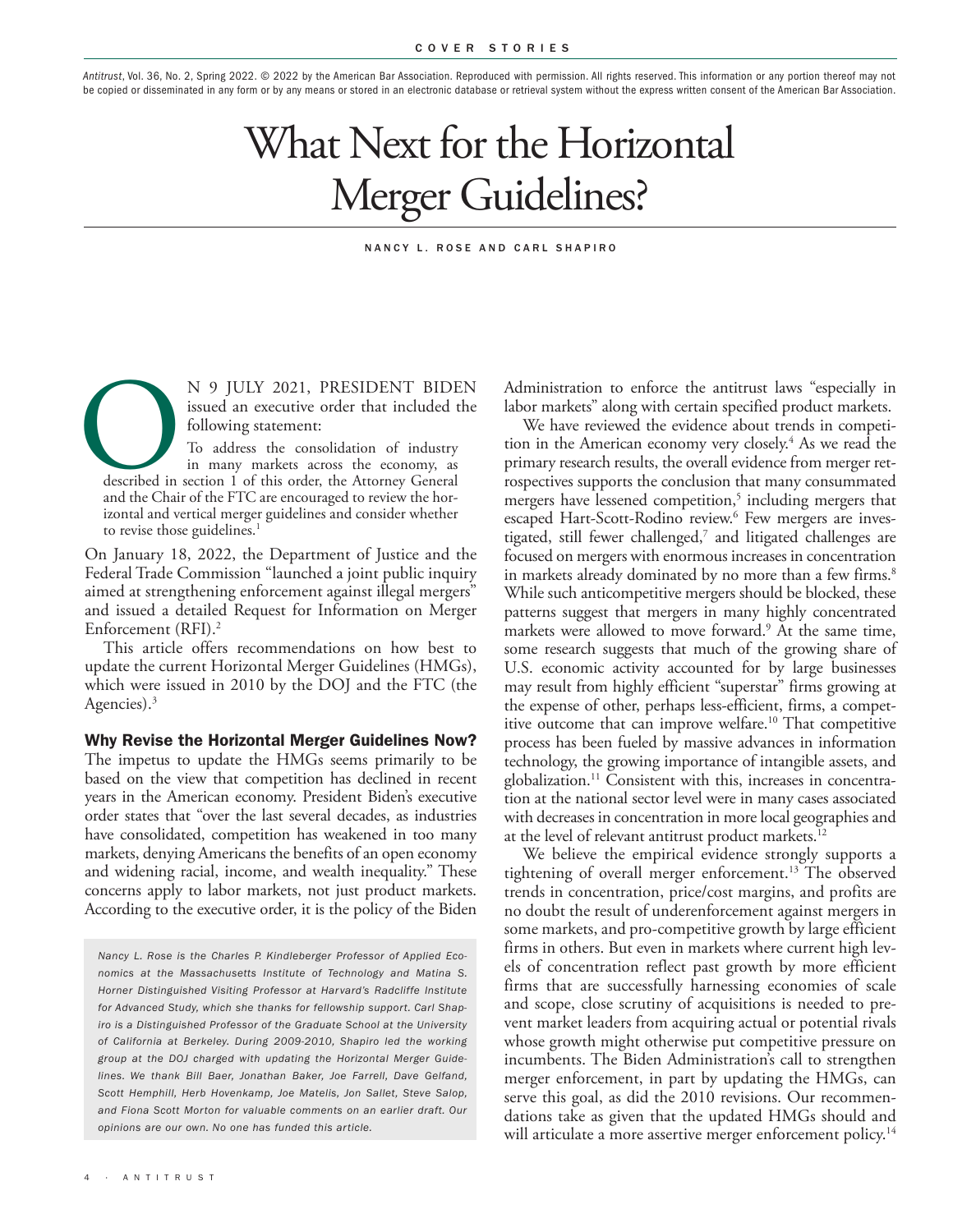*Antitrust*, Vol. 36, No. 2, Spring 2022. © 2022 by the American Bar Association. Reproduced with permission. All rights reserved. This information or any portion thereof may not be copied or disseminated in any form or by any means or stored in an electronic database or retrieval system without the express written consent of the American Bar Association.

# What Next for the Horizontal Merger Guidelines?

#### NANCY L. ROSE AND CARL SHAPIRO

N 9 JULY 2021, PRESIDENT BIDEN<br>
issued an executive order that included the<br>
following statement:<br>
To address the consolidation of industry<br>
in many markets across the economy, as<br>
described in section 1 of this order, the issued an executive order that included the following statement: To address the consolidation of industry in many markets across the economy, as

described in section 1 of this order, the Attorney General izontal and vertical merger guidelines and consider whether to revise those guidelines.<sup>1</sup>

On January 18, 2022, the Department of Justice and the Federal Trade Commission "launched a joint public inquiry aimed at strengthening enforcement against illegal mergers" and issued a detailed Request for Information on Merger Enforcement (RFI).2

This article offers recommendations on how best to update the current Horizontal Merger Guidelines (HMGs), which were issued in 2010 by the DOJ and the FTC (the Agencies).<sup>3</sup>

Why Revise the Horizontal Merger Guidelines Now? The impetus to update the HMGs seems primarily to be based on the view that competition has declined in recent years in the American economy. President Biden's executive order states that "over the last several decades, as industries have consolidated, competition has weakened in too many markets, denying Americans the benefits of an open economy and widening racial, income, and wealth inequality." These concerns apply to labor markets, not just product markets. According to the executive order, it is the policy of the Biden

*Nancy L. Rose is the Charles P. Kindleberger Professor of Applied Economics at the Massachusetts Institute of Technology and Matina S. Horner Distinguished Visiting Professor at Harvard's Radcliffe Institute for Advanced Study, which she thanks for fellowship support. Carl Shapiro is a Distinguished Professor of the Graduate School at the University of California at Berkeley. During 2009-2010, Shapiro led the working group at the DOJ charged with updating the Horizontal Merger Guidelines. We thank Bill Baer, Jonathan Baker, Joe Farrell, Dave Gelfand, Scott Hemphill, Herb Hovenkamp, Joe Matelis, Jon Sallet, Steve Salop, and Fiona Scott Morton for valuable comments on an earlier draft. Our opinions are our own. No one has funded this article.*

Administration to enforce the antitrust laws "especially in labor markets" along with certain specified product markets.

We have reviewed the evidence about trends in competition in the American economy very closely.<sup>4</sup> As we read the primary research results, the overall evidence from merger retrospectives supports the conclusion that many consummated mergers have lessened competition,<sup>5</sup> including mergers that escaped Hart-Scott-Rodino review.<sup>6</sup> Few mergers are investigated, still fewer challenged,<sup>7</sup> and litigated challenges are focused on mergers with enormous increases in concentration in markets already dominated by no more than a few firms.<sup>8</sup> While such anticompetitive mergers should be blocked, these patterns suggest that mergers in many highly concentrated markets were allowed to move forward.<sup>9</sup> At the same time, some research suggests that much of the growing share of U.S. economic activity accounted for by large businesses may result from highly efficient "superstar" firms growing at the expense of other, perhaps less-efficient, firms, a competitive outcome that can improve welfare.<sup>10</sup> That competitive process has been fueled by massive advances in information technology, the growing importance of intangible assets, and globalization.<sup>11</sup> Consistent with this, increases in concentration at the national sector level were in many cases associated with decreases in concentration in more local geographies and at the level of relevant antitrust product markets.<sup>12</sup>

We believe the empirical evidence strongly supports a tightening of overall merger enforcement.<sup>13</sup> The observed trends in concentration, price/cost margins, and profits are no doubt the result of underenforcement against mergers in some markets, and pro-competitive growth by large efficient firms in others. But even in markets where current high levels of concentration reflect past growth by more efficient firms that are successfully harnessing economies of scale and scope, close scrutiny of acquisitions is needed to prevent market leaders from acquiring actual or potential rivals whose growth might otherwise put competitive pressure on incumbents. The Biden Administration's call to strengthen merger enforcement, in part by updating the HMGs, can serve this goal, as did the 2010 revisions. Our recommendations take as given that the updated HMGs should and will articulate a more assertive merger enforcement policy.<sup>14</sup>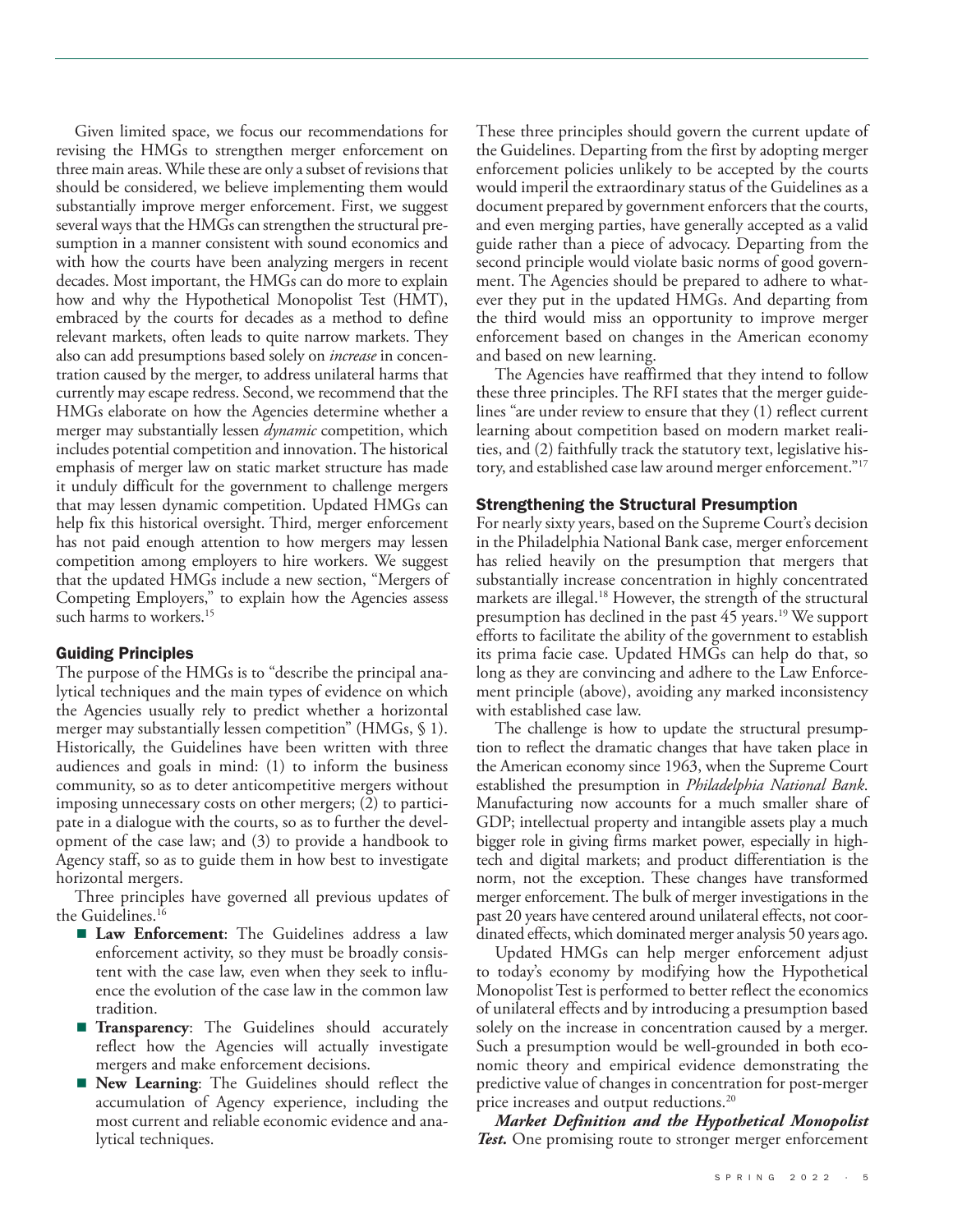Given limited space, we focus our recommendations for revising the HMGs to strengthen merger enforcement on three main areas. While these are only a subset of revisions that should be considered, we believe implementing them would substantially improve merger enforcement. First, we suggest several ways that the HMGs can strengthen the structural presumption in a manner consistent with sound economics and with how the courts have been analyzing mergers in recent decades. Most important, the HMGs can do more to explain how and why the Hypothetical Monopolist Test (HMT), embraced by the courts for decades as a method to define relevant markets, often leads to quite narrow markets. They also can add presumptions based solely on *increase* in concentration caused by the merger, to address unilateral harms that currently may escape redress. Second, we recommend that the HMGs elaborate on how the Agencies determine whether a merger may substantially lessen *dynamic* competition, which includes potential competition and innovation. The historical emphasis of merger law on static market structure has made it unduly difficult for the government to challenge mergers that may lessen dynamic competition. Updated HMGs can help fix this historical oversight. Third, merger enforcement has not paid enough attention to how mergers may lessen competition among employers to hire workers. We suggest that the updated HMGs include a new section, "Mergers of Competing Employers," to explain how the Agencies assess such harms to workers.<sup>15</sup>

### Guiding Principles

The purpose of the HMGs is to "describe the principal analytical techniques and the main types of evidence on which the Agencies usually rely to predict whether a horizontal merger may substantially lessen competition" (HMGs, § 1). Historically, the Guidelines have been written with three audiences and goals in mind: (1) to inform the business community, so as to deter anticompetitive mergers without imposing unnecessary costs on other mergers; (2) to participate in a dialogue with the courts, so as to further the development of the case law; and (3) to provide a handbook to Agency staff, so as to guide them in how best to investigate horizontal mergers.

Three principles have governed all previous updates of the Guidelines. $^{16}$ 

- **Law Enforcement**: The Guidelines address a law enforcement activity, so they must be broadly consistent with the case law, even when they seek to influence the evolution of the case law in the common law tradition.
- **Transparency**: The Guidelines should accurately reflect how the Agencies will actually investigate mergers and make enforcement decisions.
- **New Learning**: The Guidelines should reflect the accumulation of Agency experience, including the most current and reliable economic evidence and analytical techniques.

These three principles should govern the current update of the Guidelines. Departing from the first by adopting merger enforcement policies unlikely to be accepted by the courts would imperil the extraordinary status of the Guidelines as a document prepared by government enforcers that the courts, and even merging parties, have generally accepted as a valid guide rather than a piece of advocacy. Departing from the second principle would violate basic norms of good government. The Agencies should be prepared to adhere to whatever they put in the updated HMGs. And departing from the third would miss an opportunity to improve merger enforcement based on changes in the American economy and based on new learning.

The Agencies have reaffirmed that they intend to follow these three principles. The RFI states that the merger guidelines "are under review to ensure that they (1) reflect current learning about competition based on modern market realities, and (2) faithfully track the statutory text, legislative history, and established case law around merger enforcement."<sup>17</sup>

## Strengthening the Structural Presumption

For nearly sixty years, based on the Supreme Court's decision in the Philadelphia National Bank case, merger enforcement has relied heavily on the presumption that mergers that substantially increase concentration in highly concentrated markets are illegal.<sup>18</sup> However, the strength of the structural presumption has declined in the past  $45$  years.<sup>19</sup> We support efforts to facilitate the ability of the government to establish its prima facie case. Updated HMGs can help do that, so long as they are convincing and adhere to the Law Enforcement principle (above), avoiding any marked inconsistency with established case law.

The challenge is how to update the structural presumption to reflect the dramatic changes that have taken place in the American economy since 1963, when the Supreme Court established the presumption in *Philadelphia National Bank*. Manufacturing now accounts for a much smaller share of GDP; intellectual property and intangible assets play a much bigger role in giving firms market power, especially in hightech and digital markets; and product differentiation is the norm, not the exception. These changes have transformed merger enforcement. The bulk of merger investigations in the past 20 years have centered around unilateral effects, not coordinated effects, which dominated merger analysis 50 years ago.

Updated HMGs can help merger enforcement adjust to today's economy by modifying how the Hypothetical Monopolist Test is performed to better reflect the economics of unilateral effects and by introducing a presumption based solely on the increase in concentration caused by a merger. Such a presumption would be well-grounded in both economic theory and empirical evidence demonstrating the predictive value of changes in concentration for post-merger price increases and output reductions.<sup>20</sup>

*Market Definition and the Hypothetical Monopolist Test.* One promising route to stronger merger enforcement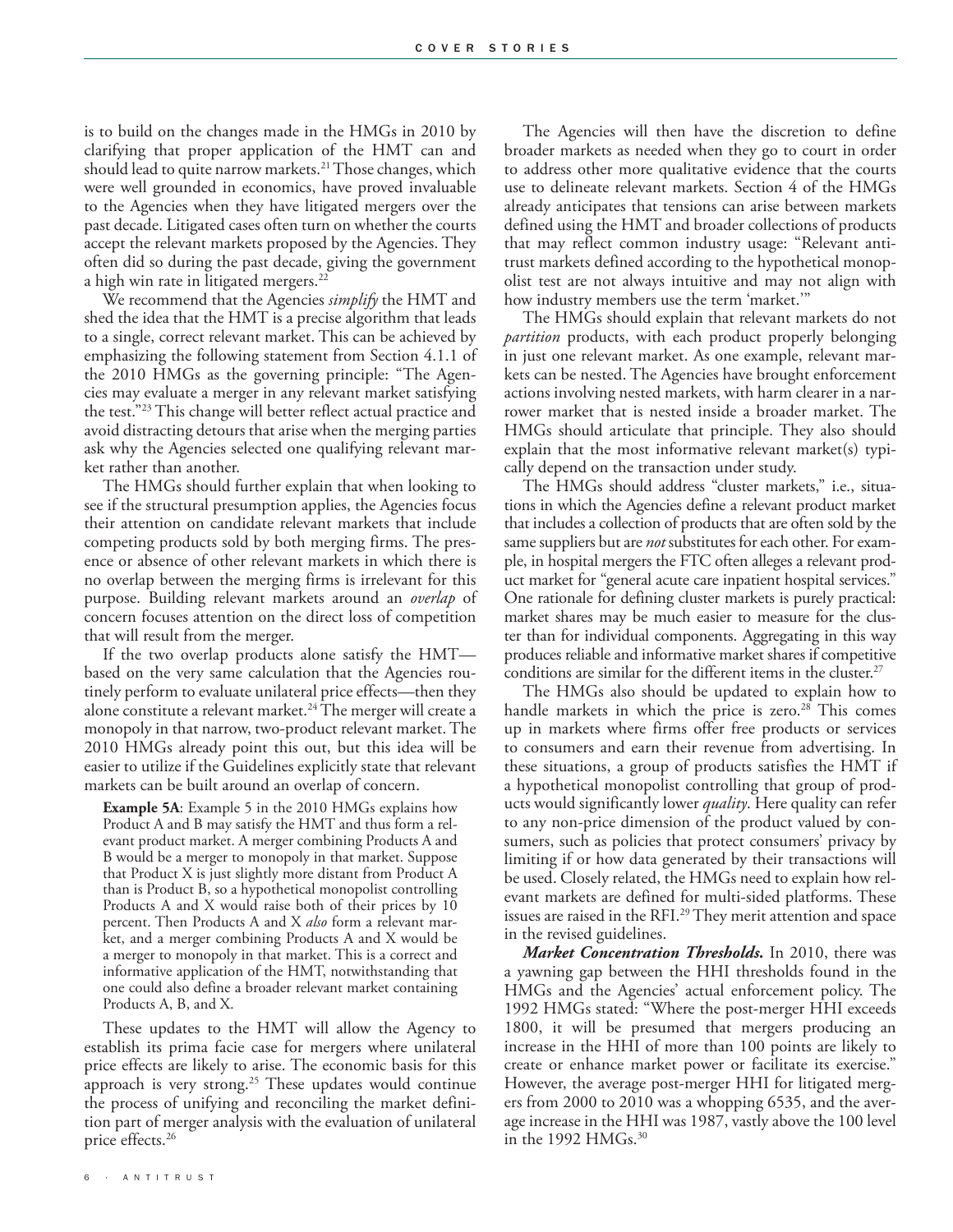is to build on the changes made in the HMGs in 2010 by clarifying that proper application of the HMT can and should lead to quite narrow markets.<sup>21</sup> Those changes, which were well grounded in economics, have proved invaluable to the Agencies when they have litigated mergers over the past decade. Litigated cases often turn on whether the courts accept the relevant markets proposed by the Agencies. They often did so during the past decade, giving the government a high win rate in litigated mergers.<sup>22</sup>

We recommend that the Agencies *simplify* the HMT and shed the idea that the HMT is a precise algorithm that leads to a single, correct relevant market. This can be achieved by emphasizing the following statement from Section 4.1.1 of the 2010 HMGs as the governing principle: "The Agencies may evaluate a merger in any relevant market satisfying the test."23 This change will better reflect actual practice and avoid distracting detours that arise when the merging parties ask why the Agencies selected one qualifying relevant market rather than another.

The HMGs should further explain that when looking to see if the structural presumption applies, the Agencies focus their attention on candidate relevant markets that include competing products sold by both merging firms. The presence or absence of other relevant markets in which there is no overlap between the merging firms is irrelevant for this purpose. Building relevant markets around an *overlap* of concern focuses attention on the direct loss of competition that will result from the merger.

If the two overlap products alone satisfy the HMT based on the very same calculation that the Agencies routinely perform to evaluate unilateral price effects—then they alone constitute a relevant market.<sup>24</sup> The merger will create a monopoly in that narrow, two-product relevant market. The 2010 HMGs already point this out, but this idea will be easier to utilize if the Guidelines explicitly state that relevant markets can be built around an overlap of concern.

**Example 5A:** Example 5 in the 2010 HMGs explains how Product A and B may satisfy the HMT and thus form a relevant product market. A merger combining Products A and B would be a merger to monopoly in that market. Suppose that Product X is just slightly more distant from Product A than is Product B, so a hypothetical monopolist controlling Products A and X would raise both of their prices by 10 percent. Then Products A and X *also* form a relevant market, and a merger combining Products A and X would be a merger to monopoly in that market. This is a correct and informative application of the HMT, notwithstanding that one could also define a broader relevant market containing Products A, B, and X.

These updates to the HMT will allow the Agency to establish its prima facie case for mergers where unilateral price effects are likely to arise. The economic basis for this approach is very strong.<sup>25</sup> These updates would continue the process of unifying and reconciling the market definition part of merger analysis with the evaluation of unilateral price effects.26

The Agencies will then have the discretion to define broader markets as needed when they go to court in order to address other more qualitative evidence that the courts use to delineate relevant markets. Section 4 of the HMGs already anticipates that tensions can arise between markets defined using the HMT and broader collections of products that may reflect common industry usage: "Relevant antitrust markets defined according to the hypothetical monopolist test are not always intuitive and may not align with how industry members use the term 'market.'"

The HMGs should explain that relevant markets do not *partition* products, with each product properly belonging in just one relevant market. As one example, relevant markets can be nested. The Agencies have brought enforcement actions involving nested markets, with harm clearer in a narrower market that is nested inside a broader market. The HMGs should articulate that principle. They also should explain that the most informative relevant market(s) typically depend on the transaction under study.

The HMGs should address "cluster markets," i.e., situations in which the Agencies define a relevant product market that includes a collection of products that are often sold by the same suppliers but are *not* substitutes for each other. For example, in hospital mergers the FTC often alleges a relevant product market for "general acute care inpatient hospital services." One rationale for defining cluster markets is purely practical: market shares may be much easier to measure for the cluster than for individual components. Aggregating in this way produces reliable and informative market shares if competitive conditions are similar for the different items in the cluster.<sup>27</sup>

The HMGs also should be updated to explain how to handle markets in which the price is zero.<sup>28</sup> This comes up in markets where firms offer free products or services to consumers and earn their revenue from advertising. In these situations, a group of products satisfies the HMT if a hypothetical monopolist controlling that group of products would significantly lower *quality*. Here quality can refer to any non-price dimension of the product valued by consumers, such as policies that protect consumers' privacy by limiting if or how data generated by their transactions will be used. Closely related, the HMGs need to explain how relevant markets are defined for multi-sided platforms. These issues are raised in the RFI.<sup>29</sup> They merit attention and space in the revised guidelines.

*Market Concentration Thresholds.* In 2010, there was a yawning gap between the HHI thresholds found in the HMGs and the Agencies' actual enforcement policy. The 1992 HMGs stated: "Where the post-merger HHI exceeds 1800, it will be presumed that mergers producing an increase in the HHI of more than 100 points are likely to create or enhance market power or facilitate its exercise." However, the average post-merger HHI for litigated mergers from 2000 to 2010 was a whopping 6535, and the average increase in the HHI was 1987, vastly above the 100 level in the 1992 HMGs.<sup>30</sup>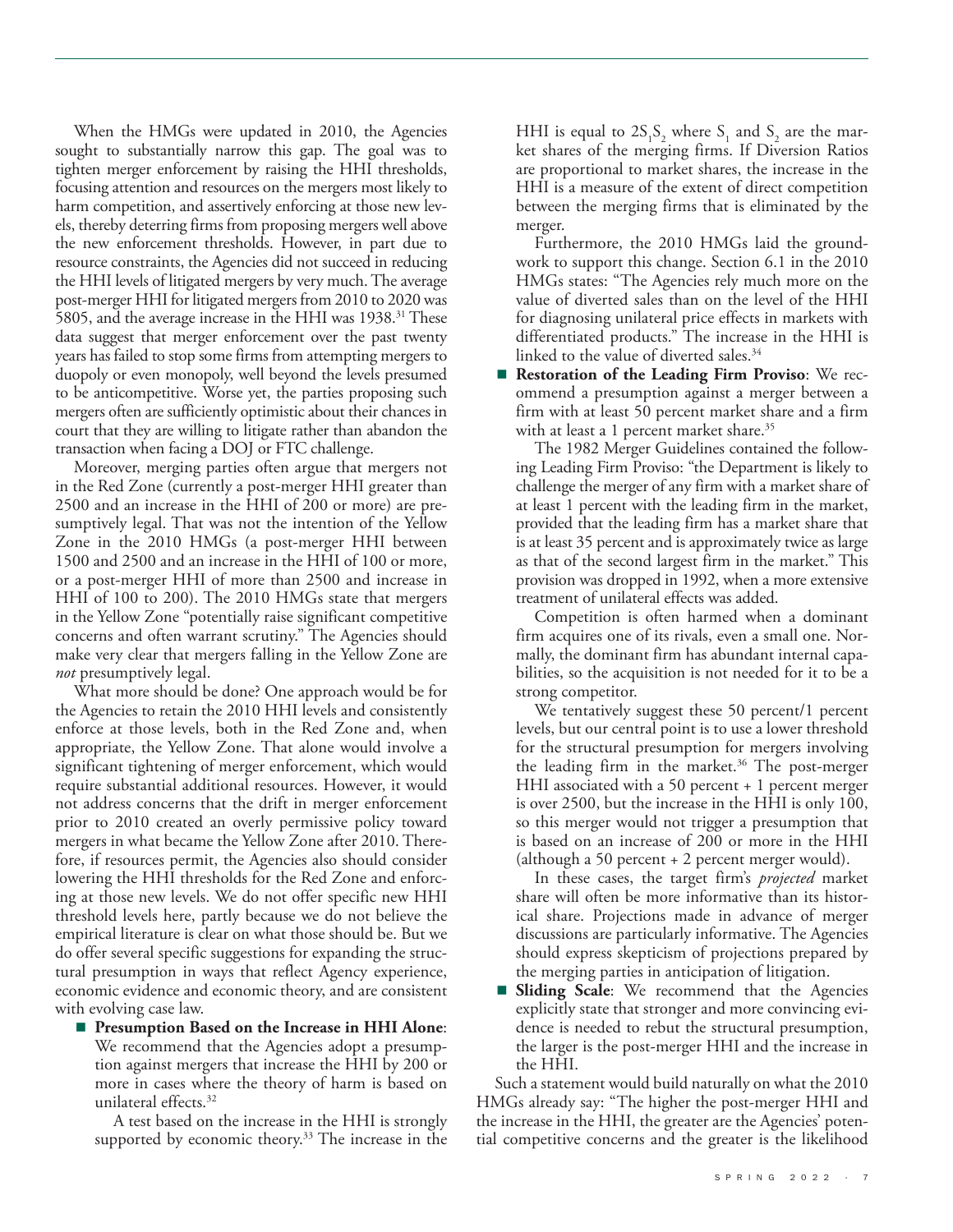When the HMGs were updated in 2010, the Agencies sought to substantially narrow this gap. The goal was to tighten merger enforcement by raising the HHI thresholds, focusing attention and resources on the mergers most likely to harm competition, and assertively enforcing at those new levels, thereby deterring firms from proposing mergers well above the new enforcement thresholds. However, in part due to resource constraints, the Agencies did not succeed in reducing the HHI levels of litigated mergers by very much. The average post-merger HHI for litigated mergers from 2010 to 2020 was 5805, and the average increase in the HHI was 1938.31 These data suggest that merger enforcement over the past twenty years has failed to stop some firms from attempting mergers to duopoly or even monopoly, well beyond the levels presumed to be anticompetitive. Worse yet, the parties proposing such mergers often are sufficiently optimistic about their chances in court that they are willing to litigate rather than abandon the transaction when facing a DOJ or FTC challenge.

Moreover, merging parties often argue that mergers not in the Red Zone (currently a post-merger HHI greater than 2500 and an increase in the HHI of 200 or more) are presumptively legal. That was not the intention of the Yellow Zone in the 2010 HMGs (a post-merger HHI between 1500 and 2500 and an increase in the HHI of 100 or more, or a post-merger HHI of more than 2500 and increase in HHI of 100 to 200). The 2010 HMGs state that mergers in the Yellow Zone "potentially raise significant competitive concerns and often warrant scrutiny." The Agencies should make very clear that mergers falling in the Yellow Zone are *not* presumptively legal.

What more should be done? One approach would be for the Agencies to retain the 2010 HHI levels and consistently enforce at those levels, both in the Red Zone and, when appropriate, the Yellow Zone. That alone would involve a significant tightening of merger enforcement, which would require substantial additional resources. However, it would not address concerns that the drift in merger enforcement prior to 2010 created an overly permissive policy toward mergers in what became the Yellow Zone after 2010. Therefore, if resources permit, the Agencies also should consider lowering the HHI thresholds for the Red Zone and enforcing at those new levels. We do not offer specific new HHI threshold levels here, partly because we do not believe the empirical literature is clear on what those should be. But we do offer several specific suggestions for expanding the structural presumption in ways that reflect Agency experience, economic evidence and economic theory, and are consistent with evolving case law.

■ **Presumption Based on the Increase in HHI Alone:** We recommend that the Agencies adopt a presumption against mergers that increase the HHI by 200 or more in cases where the theory of harm is based on unilateral effects.<sup>32</sup>

A test based on the increase in the HHI is strongly supported by economic theory.<sup>33</sup> The increase in the

HHI is equal to  $2S_1S_2$  where  $S_1$  and  $S_2$  are the market shares of the merging firms. If Diversion Ratios are proportional to market shares, the increase in the HHI is a measure of the extent of direct competition between the merging firms that is eliminated by the merger.

Furthermore, the 2010 HMGs laid the groundwork to support this change. Section 6.1 in the 2010 HMGs states: "The Agencies rely much more on the value of diverted sales than on the level of the HHI for diagnosing unilateral price effects in markets with differentiated products." The increase in the HHI is linked to the value of diverted sales.<sup>34</sup>

■ **Restoration of the Leading Firm Proviso**: We recommend a presumption against a merger between a firm with at least 50 percent market share and a firm with at least a 1 percent market share.<sup>35</sup>

The 1982 Merger Guidelines contained the following Leading Firm Proviso: "the Department is likely to challenge the merger of any firm with a market share of at least 1 percent with the leading firm in the market, provided that the leading firm has a market share that is at least 35 percent and is approximately twice as large as that of the second largest firm in the market." This provision was dropped in 1992, when a more extensive treatment of unilateral effects was added.

Competition is often harmed when a dominant firm acquires one of its rivals, even a small one. Normally, the dominant firm has abundant internal capabilities, so the acquisition is not needed for it to be a strong competitor.

We tentatively suggest these 50 percent/1 percent levels, but our central point is to use a lower threshold for the structural presumption for mergers involving the leading firm in the market.<sup>36</sup> The post-merger HHI associated with a 50 percent  $+1$  percent merger is over 2500, but the increase in the HHI is only 100, so this merger would not trigger a presumption that is based on an increase of 200 or more in the HHI (although a 50 percent  $+ 2$  percent merger would).

In these cases, the target firm's *projected* market share will often be more informative than its historical share. Projections made in advance of merger discussions are particularly informative. The Agencies should express skepticism of projections prepared by the merging parties in anticipation of litigation.

■ **Sliding Scale**: We recommend that the Agencies explicitly state that stronger and more convincing evidence is needed to rebut the structural presumption, the larger is the post-merger HHI and the increase in the HHI.

Such a statement would build naturally on what the 2010 HMGs already say: "The higher the post-merger HHI and the increase in the HHI, the greater are the Agencies' potential competitive concerns and the greater is the likelihood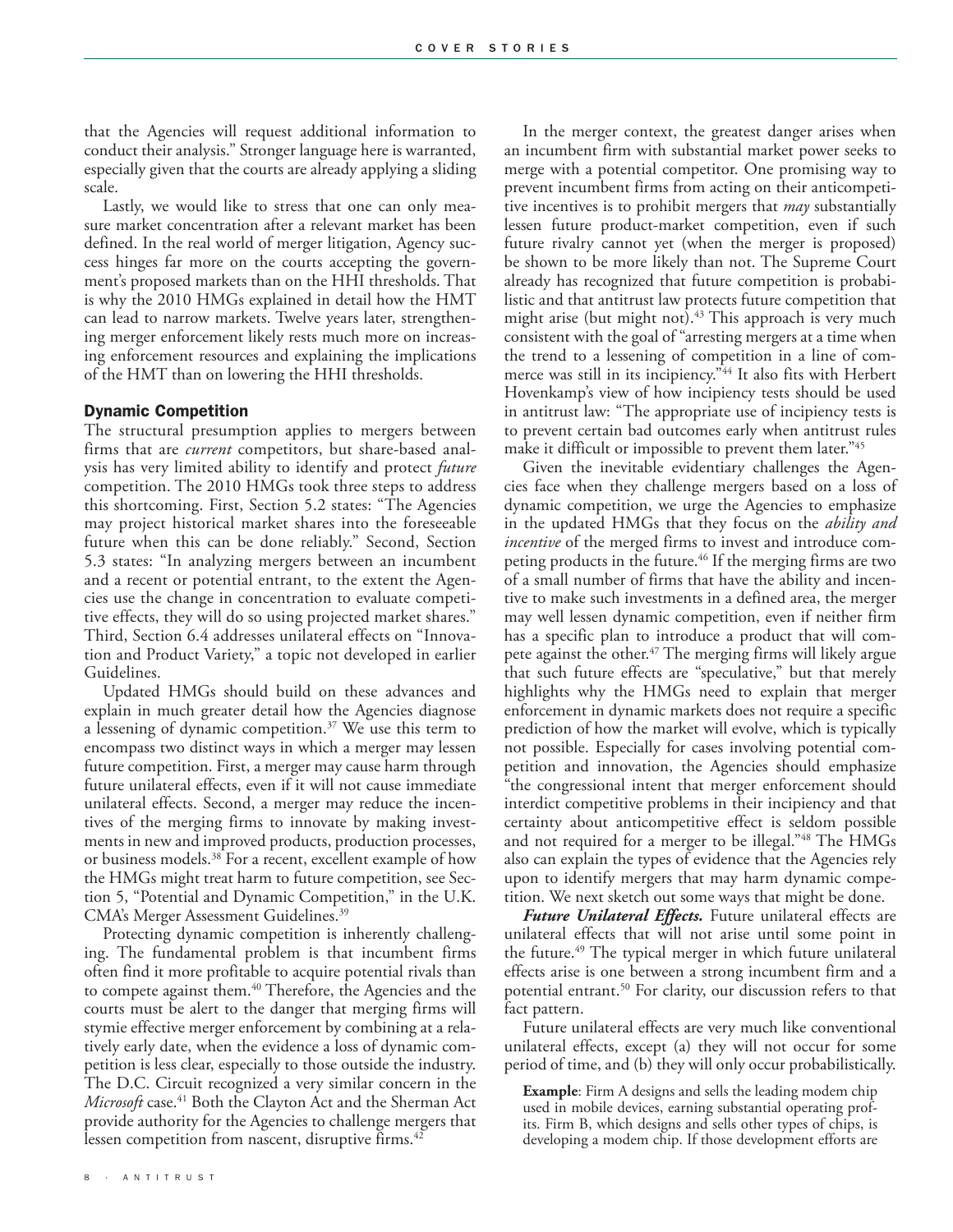that the Agencies will request additional information to conduct their analysis." Stronger language here is warranted, especially given that the courts are already applying a sliding scale.

Lastly, we would like to stress that one can only measure market concentration after a relevant market has been defined. In the real world of merger litigation, Agency success hinges far more on the courts accepting the government's proposed markets than on the HHI thresholds. That is why the 2010 HMGs explained in detail how the HMT can lead to narrow markets. Twelve years later, strengthening merger enforcement likely rests much more on increasing enforcement resources and explaining the implications of the HMT than on lowering the HHI thresholds.

#### Dynamic Competition

The structural presumption applies to mergers between firms that are *current* competitors, but share-based analysis has very limited ability to identify and protect *future* competition. The 2010 HMGs took three steps to address this shortcoming. First, Section 5.2 states: "The Agencies may project historical market shares into the foreseeable future when this can be done reliably." Second, Section 5.3 states: "In analyzing mergers between an incumbent and a recent or potential entrant, to the extent the Agencies use the change in concentration to evaluate competitive effects, they will do so using projected market shares." Third, Section 6.4 addresses unilateral effects on "Innovation and Product Variety," a topic not developed in earlier Guidelines.

Updated HMGs should build on these advances and explain in much greater detail how the Agencies diagnose a lessening of dynamic competition.37 We use this term to encompass two distinct ways in which a merger may lessen future competition. First, a merger may cause harm through future unilateral effects, even if it will not cause immediate unilateral effects. Second, a merger may reduce the incentives of the merging firms to innovate by making investments in new and improved products, production processes, or business models.38 For a recent, excellent example of how the HMGs might treat harm to future competition, see Section 5, "Potential and Dynamic Competition," in the U.K. CMA's Merger Assessment Guidelines.<sup>39</sup>

Protecting dynamic competition is inherently challenging. The fundamental problem is that incumbent firms often find it more profitable to acquire potential rivals than to compete against them.<sup>40</sup> Therefore, the Agencies and the courts must be alert to the danger that merging firms will stymie effective merger enforcement by combining at a relatively early date, when the evidence a loss of dynamic competition is less clear, especially to those outside the industry. The D.C. Circuit recognized a very similar concern in the *Microsoft* case.41 Both the Clayton Act and the Sherman Act provide authority for the Agencies to challenge mergers that lessen competition from nascent, disruptive firms.<sup>42</sup>

In the merger context, the greatest danger arises when an incumbent firm with substantial market power seeks to merge with a potential competitor. One promising way to prevent incumbent firms from acting on their anticompetitive incentives is to prohibit mergers that *may* substantially lessen future product-market competition, even if such future rivalry cannot yet (when the merger is proposed) be shown to be more likely than not. The Supreme Court already has recognized that future competition is probabilistic and that antitrust law protects future competition that might arise (but might not).<sup>43</sup> This approach is very much consistent with the goal of "arresting mergers at a time when the trend to a lessening of competition in a line of commerce was still in its incipiency."<sup>44</sup> It also fits with Herbert Hovenkamp's view of how incipiency tests should be used in antitrust law: "The appropriate use of incipiency tests is to prevent certain bad outcomes early when antitrust rules make it difficult or impossible to prevent them later."45

Given the inevitable evidentiary challenges the Agencies face when they challenge mergers based on a loss of dynamic competition, we urge the Agencies to emphasize in the updated HMGs that they focus on the *ability and incentive* of the merged firms to invest and introduce competing products in the future.<sup>46</sup> If the merging firms are two of a small number of firms that have the ability and incentive to make such investments in a defined area, the merger may well lessen dynamic competition, even if neither firm has a specific plan to introduce a product that will compete against the other.<sup>47</sup> The merging firms will likely argue that such future effects are "speculative," but that merely highlights why the HMGs need to explain that merger enforcement in dynamic markets does not require a specific prediction of how the market will evolve, which is typically not possible. Especially for cases involving potential competition and innovation, the Agencies should emphasize "the congressional intent that merger enforcement should interdict competitive problems in their incipiency and that certainty about anticompetitive effect is seldom possible and not required for a merger to be illegal."<sup>48</sup> The HMGs also can explain the types of evidence that the Agencies rely upon to identify mergers that may harm dynamic competition. We next sketch out some ways that might be done.

*Future Unilateral Effects.* Future unilateral effects are unilateral effects that will not arise until some point in the future.<sup>49</sup> The typical merger in which future unilateral effects arise is one between a strong incumbent firm and a potential entrant.50 For clarity, our discussion refers to that fact pattern.

Future unilateral effects are very much like conventional unilateral effects, except (a) they will not occur for some period of time, and (b) they will only occur probabilistically.

**Example**: Firm A designs and sells the leading modem chip used in mobile devices, earning substantial operating profits. Firm B, which designs and sells other types of chips, is developing a modem chip. If those development efforts are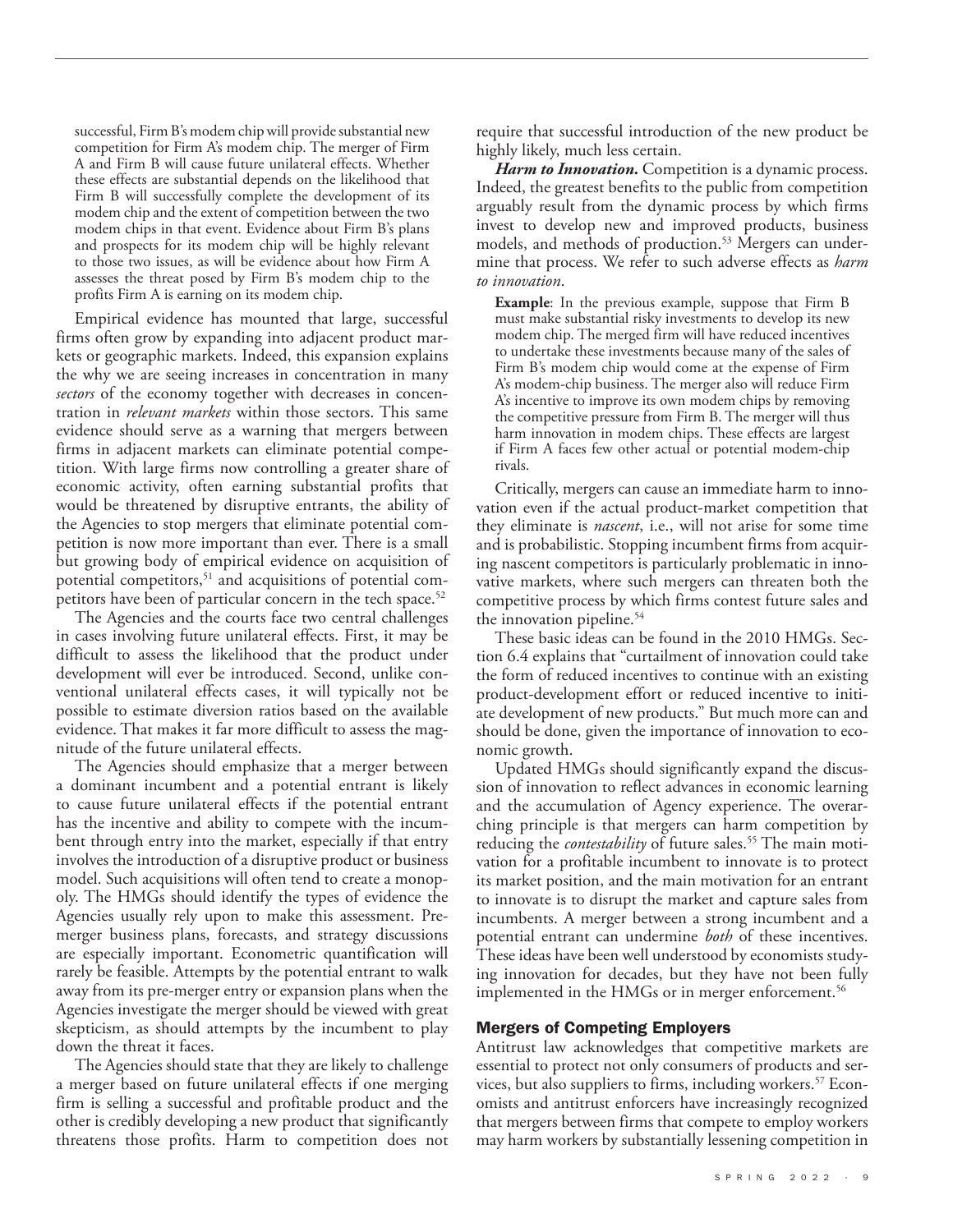successful, Firm B's modem chip will provide substantial new competition for Firm A's modem chip. The merger of Firm A and Firm B will cause future unilateral effects. Whether these effects are substantial depends on the likelihood that Firm B will successfully complete the development of its modem chip and the extent of competition between the two modem chips in that event. Evidence about Firm B's plans and prospects for its modem chip will be highly relevant to those two issues, as will be evidence about how Firm A assesses the threat posed by Firm B's modem chip to the profits Firm A is earning on its modem chip.

Empirical evidence has mounted that large, successful firms often grow by expanding into adjacent product markets or geographic markets. Indeed, this expansion explains the why we are seeing increases in concentration in many *sectors* of the economy together with decreases in concentration in *relevant markets* within those sectors. This same evidence should serve as a warning that mergers between firms in adjacent markets can eliminate potential competition. With large firms now controlling a greater share of economic activity, often earning substantial profits that would be threatened by disruptive entrants, the ability of the Agencies to stop mergers that eliminate potential competition is now more important than ever. There is a small but growing body of empirical evidence on acquisition of potential competitors,<sup>51</sup> and acquisitions of potential competitors have been of particular concern in the tech space.<sup>52</sup>

The Agencies and the courts face two central challenges in cases involving future unilateral effects. First, it may be difficult to assess the likelihood that the product under development will ever be introduced. Second, unlike conventional unilateral effects cases, it will typically not be possible to estimate diversion ratios based on the available evidence. That makes it far more difficult to assess the magnitude of the future unilateral effects.

The Agencies should emphasize that a merger between a dominant incumbent and a potential entrant is likely to cause future unilateral effects if the potential entrant has the incentive and ability to compete with the incumbent through entry into the market, especially if that entry involves the introduction of a disruptive product or business model. Such acquisitions will often tend to create a monopoly. The HMGs should identify the types of evidence the Agencies usually rely upon to make this assessment. Premerger business plans, forecasts, and strategy discussions are especially important. Econometric quantification will rarely be feasible. Attempts by the potential entrant to walk away from its pre-merger entry or expansion plans when the Agencies investigate the merger should be viewed with great skepticism, as should attempts by the incumbent to play down the threat it faces.

The Agencies should state that they are likely to challenge a merger based on future unilateral effects if one merging firm is selling a successful and profitable product and the other is credibly developing a new product that significantly threatens those profits. Harm to competition does not require that successful introduction of the new product be highly likely, much less certain.

Harm to Innovation. Competition is a dynamic process. Indeed, the greatest benefits to the public from competition arguably result from the dynamic process by which firms invest to develop new and improved products, business models, and methods of production.<sup>53</sup> Mergers can undermine that process. We refer to such adverse effects as *harm to innovation*.

**Example**: In the previous example, suppose that Firm B must make substantial risky investments to develop its new modem chip. The merged firm will have reduced incentives to undertake these investments because many of the sales of Firm B's modem chip would come at the expense of Firm A's modem-chip business. The merger also will reduce Firm A's incentive to improve its own modem chips by removing the competitive pressure from Firm B. The merger will thus harm innovation in modem chips. These effects are largest if Firm A faces few other actual or potential modem-chip rivals.

Critically, mergers can cause an immediate harm to innovation even if the actual product-market competition that they eliminate is *nascent*, i.e., will not arise for some time and is probabilistic. Stopping incumbent firms from acquiring nascent competitors is particularly problematic in innovative markets, where such mergers can threaten both the competitive process by which firms contest future sales and the innovation pipeline.<sup>54</sup>

These basic ideas can be found in the 2010 HMGs. Section 6.4 explains that "curtailment of innovation could take the form of reduced incentives to continue with an existing product-development effort or reduced incentive to initiate development of new products." But much more can and should be done, given the importance of innovation to economic growth.

Updated HMGs should significantly expand the discussion of innovation to reflect advances in economic learning and the accumulation of Agency experience. The overarching principle is that mergers can harm competition by reducing the *contestability* of future sales.<sup>55</sup> The main motivation for a profitable incumbent to innovate is to protect its market position, and the main motivation for an entrant to innovate is to disrupt the market and capture sales from incumbents. A merger between a strong incumbent and a potential entrant can undermine *both* of these incentives. These ideas have been well understood by economists studying innovation for decades, but they have not been fully implemented in the HMGs or in merger enforcement.<sup>56</sup>

## Mergers of Competing Employers

Antitrust law acknowledges that competitive markets are essential to protect not only consumers of products and services, but also suppliers to firms, including workers.<sup>57</sup> Economists and antitrust enforcers have increasingly recognized that mergers between firms that compete to employ workers may harm workers by substantially lessening competition in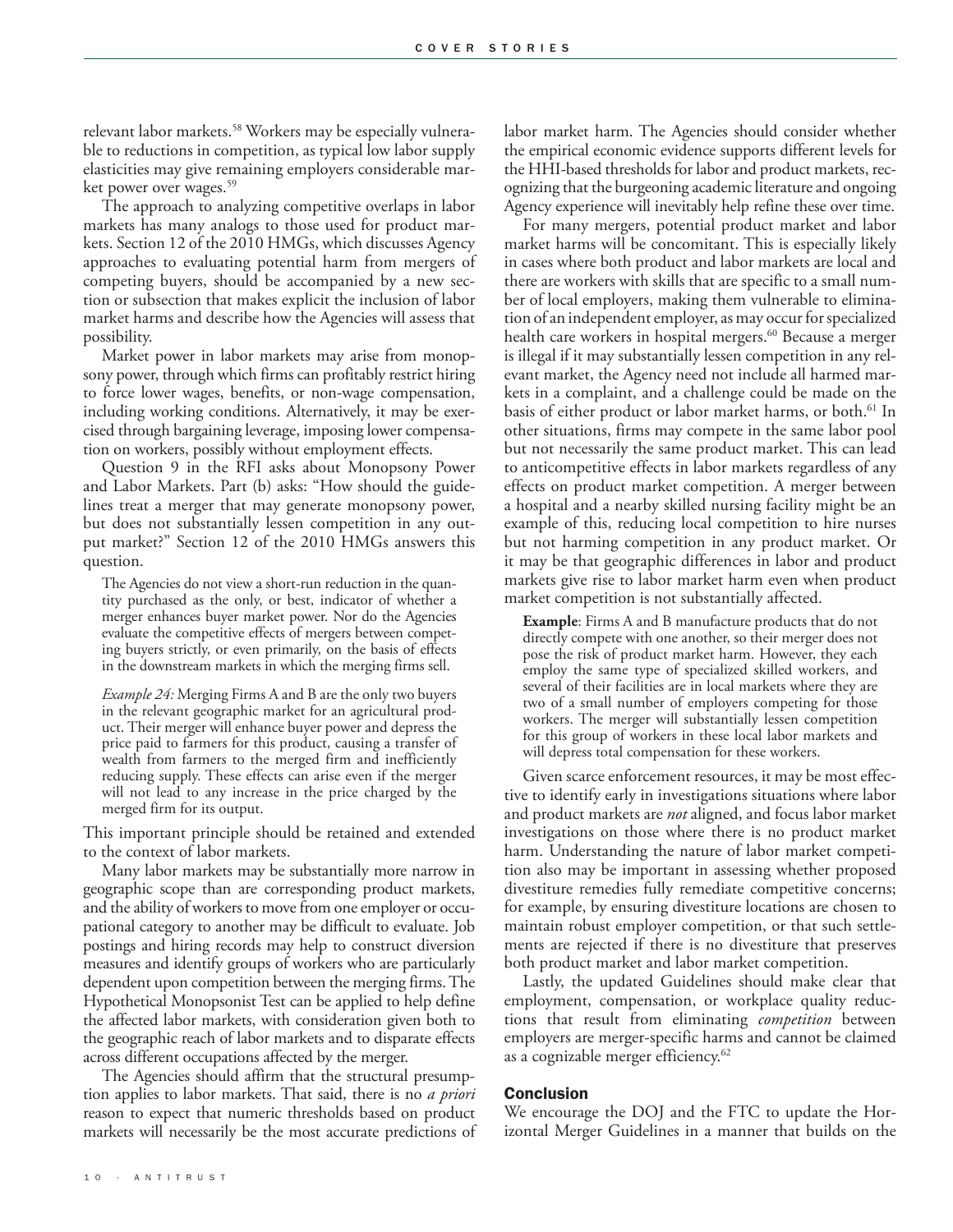relevant labor markets.58 Workers may be especially vulnerable to reductions in competition, as typical low labor supply elasticities may give remaining employers considerable market power over wages.<sup>59</sup>

The approach to analyzing competitive overlaps in labor markets has many analogs to those used for product markets. Section 12 of the 2010 HMGs, which discusses Agency approaches to evaluating potential harm from mergers of competing buyers, should be accompanied by a new section or subsection that makes explicit the inclusion of labor market harms and describe how the Agencies will assess that possibility.

Market power in labor markets may arise from monopsony power, through which firms can profitably restrict hiring to force lower wages, benefits, or non-wage compensation, including working conditions. Alternatively, it may be exercised through bargaining leverage, imposing lower compensation on workers, possibly without employment effects.

Question 9 in the RFI asks about Monopsony Power and Labor Markets. Part (b) asks: "How should the guidelines treat a merger that may generate monopsony power, but does not substantially lessen competition in any output market?" Section 12 of the 2010 HMGs answers this question.

The Agencies do not view a short-run reduction in the quantity purchased as the only, or best, indicator of whether a merger enhances buyer market power. Nor do the Agencies evaluate the competitive effects of mergers between competing buyers strictly, or even primarily, on the basis of effects in the downstream markets in which the merging firms sell.

*Example 24:* Merging Firms A and B are the only two buyers in the relevant geographic market for an agricultural product. Their merger will enhance buyer power and depress the price paid to farmers for this product, causing a transfer of wealth from farmers to the merged firm and inefficiently reducing supply. These effects can arise even if the merger will not lead to any increase in the price charged by the merged firm for its output.

This important principle should be retained and extended to the context of labor markets.

Many labor markets may be substantially more narrow in geographic scope than are corresponding product markets, and the ability of workers to move from one employer or occupational category to another may be difficult to evaluate. Job postings and hiring records may help to construct diversion measures and identify groups of workers who are particularly dependent upon competition between the merging firms. The Hypothetical Monopsonist Test can be applied to help define the affected labor markets, with consideration given both to the geographic reach of labor markets and to disparate effects across different occupations affected by the merger.

The Agencies should affirm that the structural presumption applies to labor markets. That said, there is no *a priori* reason to expect that numeric thresholds based on product markets will necessarily be the most accurate predictions of labor market harm. The Agencies should consider whether the empirical economic evidence supports different levels for the HHI-based thresholds for labor and product markets, recognizing that the burgeoning academic literature and ongoing Agency experience will inevitably help refine these over time.

For many mergers, potential product market and labor market harms will be concomitant. This is especially likely in cases where both product and labor markets are local and there are workers with skills that are specific to a small number of local employers, making them vulnerable to elimination of an independent employer, as may occur for specialized health care workers in hospital mergers.<sup>60</sup> Because a merger is illegal if it may substantially lessen competition in any relevant market, the Agency need not include all harmed markets in a complaint, and a challenge could be made on the basis of either product or labor market harms, or both.<sup>61</sup> In other situations, firms may compete in the same labor pool but not necessarily the same product market. This can lead to anticompetitive effects in labor markets regardless of any effects on product market competition. A merger between a hospital and a nearby skilled nursing facility might be an example of this, reducing local competition to hire nurses but not harming competition in any product market. Or it may be that geographic differences in labor and product markets give rise to labor market harm even when product market competition is not substantially affected.

**Example:** Firms A and B manufacture products that do not directly compete with one another, so their merger does not pose the risk of product market harm. However, they each employ the same type of specialized skilled workers, and several of their facilities are in local markets where they are two of a small number of employers competing for those workers. The merger will substantially lessen competition for this group of workers in these local labor markets and will depress total compensation for these workers.

Given scarce enforcement resources, it may be most effective to identify early in investigations situations where labor and product markets are *not* aligned, and focus labor market investigations on those where there is no product market harm. Understanding the nature of labor market competition also may be important in assessing whether proposed divestiture remedies fully remediate competitive concerns; for example, by ensuring divestiture locations are chosen to maintain robust employer competition, or that such settlements are rejected if there is no divestiture that preserves both product market and labor market competition.

Lastly, the updated Guidelines should make clear that employment, compensation, or workplace quality reductions that result from eliminating *competition* between employers are merger-specific harms and cannot be claimed as a cognizable merger efficiency.<sup>62</sup>

#### Conclusion

We encourage the DOJ and the FTC to update the Horizontal Merger Guidelines in a manner that builds on the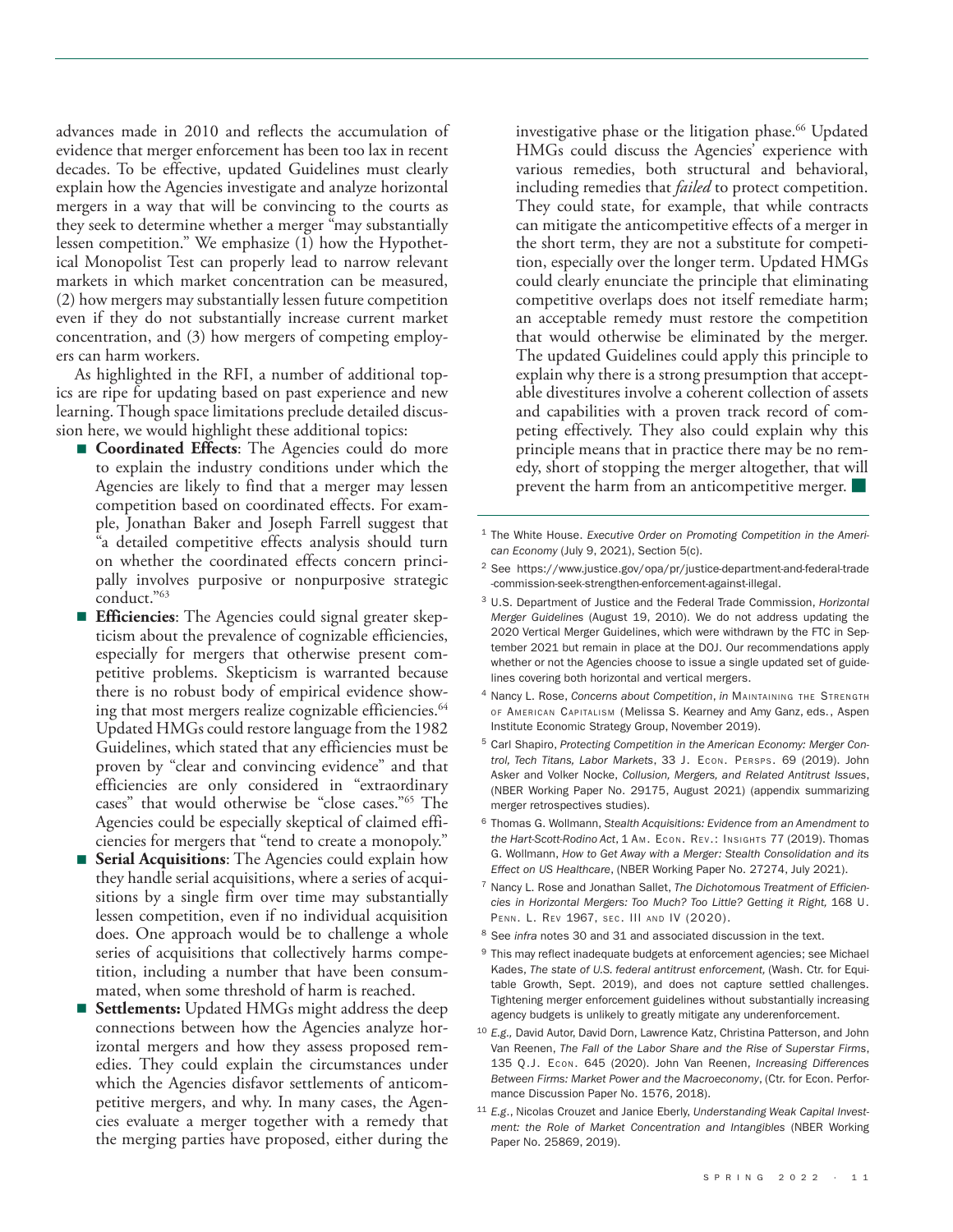advances made in 2010 and reflects the accumulation of evidence that merger enforcement has been too lax in recent decades. To be effective, updated Guidelines must clearly explain how the Agencies investigate and analyze horizontal mergers in a way that will be convincing to the courts as they seek to determine whether a merger "may substantially lessen competition." We emphasize  $(1)$  how the Hypothetical Monopolist Test can properly lead to narrow relevant markets in which market concentration can be measured, (2) how mergers may substantially lessen future competition even if they do not substantially increase current market concentration, and (3) how mergers of competing employers can harm workers.

As highlighted in the RFI, a number of additional topics are ripe for updating based on past experience and new learning. Though space limitations preclude detailed discussion here, we would highlight these additional topics:

- **Coordinated Effects**: The Agencies could do more to explain the industry conditions under which the Agencies are likely to find that a merger may lessen competition based on coordinated effects. For example, Jonathan Baker and Joseph Farrell suggest that "a detailed competitive effects analysis should turn on whether the coordinated effects concern principally involves purposive or nonpurposive strategic conduct."63
- **Efficiencies**: The Agencies could signal greater skepticism about the prevalence of cognizable efficiencies, especially for mergers that otherwise present competitive problems. Skepticism is warranted because there is no robust body of empirical evidence showing that most mergers realize cognizable efficiencies.<sup>64</sup> Updated HMGs could restore language from the 1982 Guidelines, which stated that any efficiencies must be proven by "clear and convincing evidence" and that efficiencies are only considered in "extraordinary cases" that would otherwise be "close cases."65 The Agencies could be especially skeptical of claimed efficiencies for mergers that "tend to create a monopoly."
- **Serial Acquisitions**: The Agencies could explain how they handle serial acquisitions, where a series of acquisitions by a single firm over time may substantially lessen competition, even if no individual acquisition does. One approach would be to challenge a whole series of acquisitions that collectively harms competition, including a number that have been consummated, when some threshold of harm is reached.
- **Settlements:** Updated HMGs might address the deep connections between how the Agencies analyze horizontal mergers and how they assess proposed remedies. They could explain the circumstances under which the Agencies disfavor settlements of anticompetitive mergers, and why. In many cases, the Agencies evaluate a merger together with a remedy that the merging parties have proposed, either during the

investigative phase or the litigation phase.<sup>66</sup> Updated HMGs could discuss the Agencies' experience with various remedies, both structural and behavioral, including remedies that *failed* to protect competition. They could state, for example, that while contracts can mitigate the anticompetitive effects of a merger in the short term, they are not a substitute for competition, especially over the longer term. Updated HMGs could clearly enunciate the principle that eliminating competitive overlaps does not itself remediate harm; an acceptable remedy must restore the competition that would otherwise be eliminated by the merger. The updated Guidelines could apply this principle to explain why there is a strong presumption that acceptable divestitures involve a coherent collection of assets and capabilities with a proven track record of competing effectively. They also could explain why this principle means that in practice there may be no remedy, short of stopping the merger altogether, that will prevent the harm from an anticompetitive merger.

- <sup>1</sup> The White House. *[Executive Order on Promoting Competition in the Ameri](https://www.whitehouse.gov/briefing-room/presidential-actions/2021/07/09/executive-order-on-promoting-competition-in-the-american-economy/)[can Economy](https://www.whitehouse.gov/briefing-room/presidential-actions/2021/07/09/executive-order-on-promoting-competition-in-the-american-economy/)* (July 9, 2021), Section 5(c).
- <sup>2</sup> See [https://www.justice.gov/opa/pr/justice-department-and-federal-trade](https://www.justice.gov/opa/pr/justice-department-and-federal-trade-commission-seek-strengthen-enforcement-against-illegal) [-commission-seek-strengthen-enforcement-against-illegal.](https://www.justice.gov/opa/pr/justice-department-and-federal-trade-commission-seek-strengthen-enforcement-against-illegal)
- <sup>3</sup> U.S. Department of Justice and the Federal Trade Commission, *[Horizontal](https://www.justice.gov/atr/horizontal-merger-guidelines-08192010)  [Merger Guidelines](https://www.justice.gov/atr/horizontal-merger-guidelines-08192010)* (August 19, 2010). We do not address updating the 2020 Vertical Merger Guidelines, which were withdrawn by the FTC in September 2021 but remain in place at the DOJ. Our recommendations apply whether or not the Agencies choose to issue a single updated set of guidelines covering both horizontal and vertical mergers.
- <sup>4</sup> Nancy L. Rose, *[Concerns about Competition](https://economicstrategygroup.org/resource/concerns-about-concentration/)*, *in* Maintaining the Strength of American Capitalism (Melissa S. Kearney and Amy Ganz, eds., Aspen Institute Economic Strategy Group, November 2019).
- <sup>5</sup> Carl Shapiro, *[Protecting Competition in the American Economy: Merger Con](https://faculty.haas.berkeley.edu/shapiro/protectingcompetition.pdf)[trol, Tech Titans, Labor Markets](https://faculty.haas.berkeley.edu/shapiro/protectingcompetition.pdf)*, 33 J. Econ. Persps. 69 (2019). John Asker and Volker Nocke, *[Collusion, Mergers, and Related Antitrust Issues](https://www.nber.org/papers/w29175)*, (NBER Working Paper No. 29175, August 2021) (appendix summarizing merger retrospectives studies).
- <sup>6</sup> Thomas G. Wollmann, *[Stealth Acquisitions: Evidence from an Amendment to](https://www.aeaweb.org/articles?id=10.1257/aeri.20180137)  [the Hart-Scott-Rodino Act](https://www.aeaweb.org/articles?id=10.1257/aeri.20180137)*, 1 Am. Econ. Rev.: Insights 77 (2019). Thomas G. Wollmann, *[How to Get Away with a Merger: Stealth Consolidation and its](https://www.nber.org/system/files/working_papers/w27274/w27274.pdf)  [Effect on US Healthcare](https://www.nber.org/system/files/working_papers/w27274/w27274.pdf)*, (NBER Working Paper No. 27274, July 2021).
- <sup>7</sup> Nancy L. Rose and Jonathan Sallet, *[The Dichotomous Treatment of Efficien](https://www.pennlawreview.com/wp-content/uploads/2021/01/Rose-Sallet_FINAL.pdf)[cies in Horizontal Mergers: Too Much? Too Little? Getting it Right,](https://www.pennlawreview.com/wp-content/uploads/2021/01/Rose-Sallet_FINAL.pdf)* 168 U. Penn. L. Rev 1967, sec. III and IV (2020).
- <sup>8</sup> See *infra* notes 30 and 31 and associated discussion in the text.
- $9$  This may reflect inadequate budgets at enforcement agencies; see Michael Kades, *[The state of U.S. federal antitrust enforcement](https://www.google.com/url?sa=t&rct=j&q=&esrc=s&source=web&cd=&ved=2ahUKEwjroMWWwtL1AhWpkokEHXI4A48QFnoECAwQAQ&url=https%3A%2F%2Fequitablegrowth.org%2Fwp-content%2Fuploads%2F2019%2F09%2F091719-antitrust-enforcement-report.pdf&usg=AOvVaw2thvvaBIfnfXN6OE38SMeN),* (Wash. Ctr. for Equitable Growth, Sept. 2019), and does not capture settled challenges. Tightening merger enforcement guidelines without substantially increasing agency budgets is unlikely to greatly mitigate any underenforcement.
- <sup>10</sup> *E.g.,* David Autor, David Dorn, Lawrence Katz, Christina Patterson, and John Van Reenen, *[The Fall of the Labor Share and the Rise of Superstar Firms](https://academic.oup.com/qje/article/135/2/645/5721266)*, 135 Q.J. Econ. 645 (2020). John Van Reenen, *[Increasing Differences](https://cep.lse.ac.uk/pubs/download/dp1576.pdf)  [Between Firms: Market Power and the Macroeconomy](https://cep.lse.ac.uk/pubs/download/dp1576.pdf)*, (Ctr. for Econ. Performance Discussion Paper No. 1576, 2018).
- <sup>11</sup> *E.g*., Nicolas Crouzet and Janice Eberly, *[Understanding Weak Capital Invest](https://www.nber.org/papers/w25869)[ment: the Role of Market Concentration and Intangibles](https://www.nber.org/papers/w25869)* (NBER Working Paper No. 25869, 2019).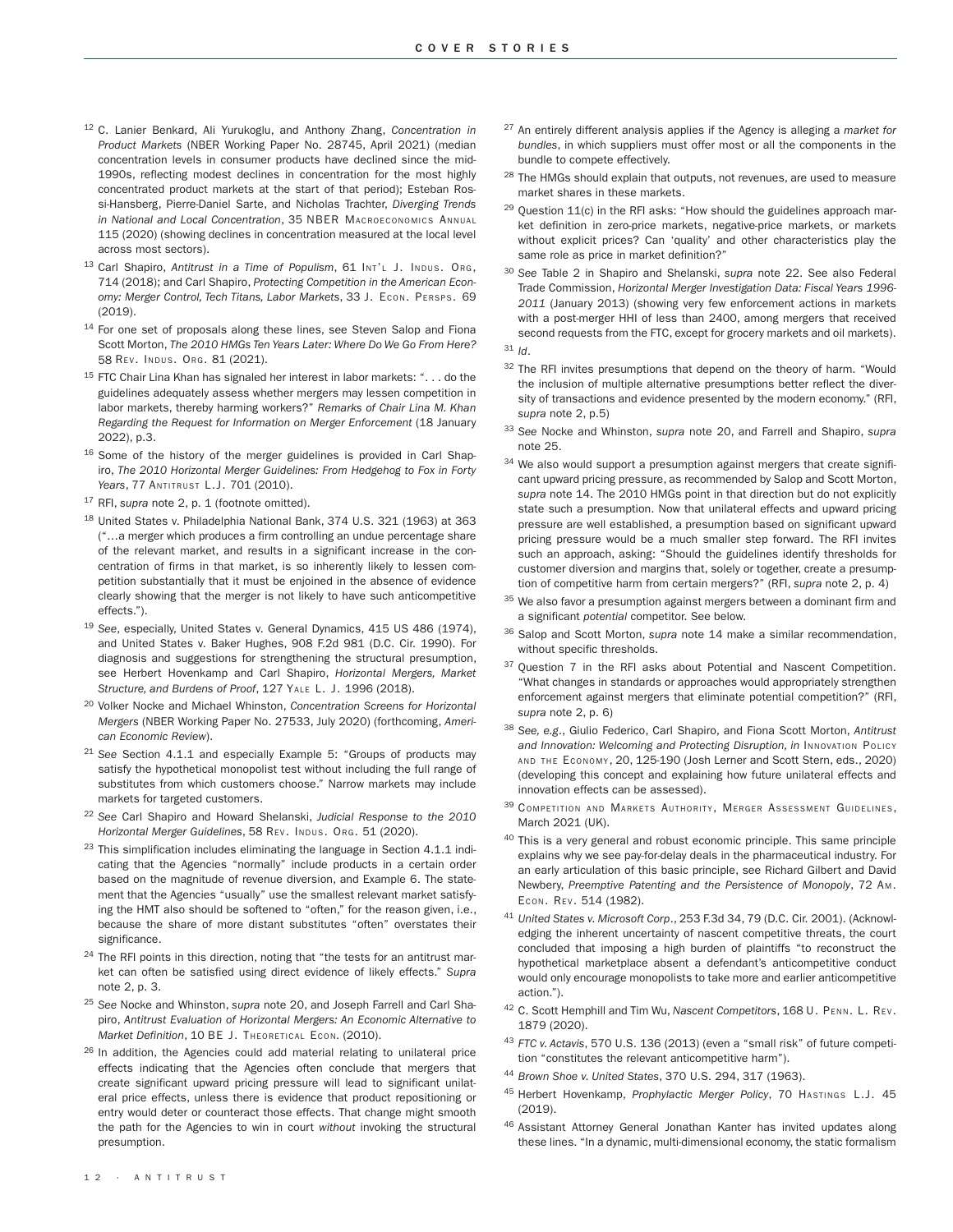- <sup>12</sup> C. Lanier Benkard, Ali Yurukoglu, and Anthony Zhang, *[Concentration in](https://www.nber.org/papers/w28745) [Product Markets](https://www.nber.org/papers/w28745)* (NBER Working Paper No. 28745, April 2021) (median concentration levels in consumer products have declined since the mid-1990s, reflecting modest declines in concentration for the most highly concentrated product markets at the start of that period); Esteban Rossi-Hansberg, Pierre-Daniel Sarte, and Nicholas Trachter, *[Diverging Trends](https://www.journals.uchicago.edu/doi/abs/10.1086/712317) [in National and Local Concentration](https://www.journals.uchicago.edu/doi/abs/10.1086/712317)*, 35 NBER Macroeconomics Annual 115 (2020) (showing declines in concentration measured at the local level across most sectors).
- 13 Carl Shapiro, [Antitrust in a Time of Populism](https://faculty.haas.berkeley.edu/shapiro/antitrustpopulism.pdf), 61 Int't J. Indus. Org, 714 (2018); and Carl Shapiro, *[Protecting Competition in the American Econ](https://faculty.haas.berkeley.edu/shapiro/protectingcompetition.pdf)[omy: Merger Control, Tech Titans, Labor Markets](https://faculty.haas.berkeley.edu/shapiro/protectingcompetition.pdf)*, 33 J. Econ. Persps. 69 (2019).
- <sup>14</sup> For one set of proposals along these lines, see Steven Salop and Fiona Scott Morton, *[The 2010 HMGs Ten Years Later: Where Do We Go From Here?](https://www.springerprofessional.de/en/the-2010-hmgs-ten-years-later-where-do-we-go-from-here/18754836)* 58 Rev. Indus. Org. 81 (2021).
- <sup>15</sup> FTC Chair Lina Khan has signaled her interest in labor markets: ". . . do the guidelines adequately assess whether mergers may lessen competition in labor markets, thereby harming workers?" *[Remarks of Chair Lina M. Khan](https://www.ftc.gov/system/files/documents/public_statements/1599783/statement_of_chair_lina_m_khan_regarding_the_request_for_information_on_merger_enforcement_final.pdf) [Regarding the Request for Information on Merger Enforcement](https://www.ftc.gov/system/files/documents/public_statements/1599783/statement_of_chair_lina_m_khan_regarding_the_request_for_information_on_merger_enforcement_final.pdf)* (18 January 2022), p.3.
- <sup>16</sup> Some of the history of the merger guidelines is provided in Carl Shapiro, *[The 2010 Horizontal Merger Guidelines: From Hedgehog to Fox in Forty](https://faculty.haas.berkeley.edu/shapiro/hedgehog.pdf)  [Years](https://faculty.haas.berkeley.edu/shapiro/hedgehog.pdf)*, 77 Antitrust L.J. 701 (2010).
- <sup>17</sup> RFI, *supra* note 2, p. 1 (footnote omitted).
- <sup>18</sup> United States v. Philadelphia National Bank, 374 U.S. 321 (1963) at 363 ("…a merger which produces a firm controlling an undue percentage share of the relevant market, and results in a significant increase in the concentration of firms in that market, is so inherently likely to lessen competition substantially that it must be enjoined in the absence of evidence clearly showing that the merger is not likely to have such anticompetitive effects.").
- <sup>19</sup> *See*, especially, United States v. General Dynamics, 415 US 486 (1974), and United States v. Baker Hughes, 908 F.2d 981 (D.C. Cir. 1990). For diagnosis and suggestions for strengthening the structural presumption, see Herbert Hovenkamp and Carl Shapiro, *[Horizontal Mergers, Market](https://faculty.haas.berkeley.edu/shapiro/structuralpresumption.pdf) [Structure, and Burdens of Proof](https://faculty.haas.berkeley.edu/shapiro/structuralpresumption.pdf)*, 127 Yale L. J. 1996 (2018).
- <sup>20</sup> Volker Nocke and Michael Whinston, *[Concentration Screens for Horizontal](https://www.nber.org/papers/w27533)  [Mergers](https://www.nber.org/papers/w27533)* (NBER Working Paper No. 27533, July 2020) (forthcoming, *American Economic Review*).
- <sup>21</sup> *See* Section 4.1.1 and especially Example 5: "Groups of products may satisfy the hypothetical monopolist test without including the full range of substitutes from which customers choose." Narrow markets may include markets for targeted customers.
- <sup>22</sup> *See* Carl Shapiro and Howard Shelanski, *[Judicial Response to the 2010](https://faculty.haas.berkeley.edu/shapiro/judicialresponse.pdf)*  [Horizontal Merger Guidelines](https://faculty.haas.berkeley.edu/shapiro/judicialresponse.pdf), 58 REV. Indus. Org. 51 (2020).
- <sup>23</sup> This simplification includes eliminating the language in Section 4.1.1 indicating that the Agencies "normally" include products in a certain order based on the magnitude of revenue diversion, and Example 6. The statement that the Agencies "usually" use the smallest relevant market satisfying the HMT also should be softened to "often," for the reason given, i.e., because the share of more distant substitutes "often" overstates their significance.
- <sup>24</sup> The RFI points in this direction, noting that "the tests for an antitrust market can often be satisfied using direct evidence of likely effects." *Supra*  note 2, p. 3.
- <sup>25</sup> *See* Nocke and Whinston, *supra* note 20, and Joseph Farrell and Carl Shapiro, *[Antitrust Evaluation of Horizontal Mergers: An Economic Alternative to](https://faculty.haas.berkeley.edu/shapiro/alternative.pdf)  [Market Definition](https://faculty.haas.berkeley.edu/shapiro/alternative.pdf)*, 10 BE J. Theoretical Econ*.* (2010).
- <sup>26</sup> In addition, the Agencies could add material relating to unilateral price effects indicating that the Agencies often conclude that mergers that create significant upward pricing pressure will lead to significant unilateral price effects, unless there is evidence that product repositioning or entry would deter or counteract those effects. That change might smooth the path for the Agencies to win in court *without* invoking the structural presumption.
- <sup>27</sup> An entirely different analysis applies if the Agency is alleging a *market for bundles*, in which suppliers must offer most or all the components in the bundle to compete effectively.
- <sup>28</sup> The HMGs should explain that outputs, not revenues, are used to measure market shares in these markets.
- $29$  Ouestion 11(c) in the RFI asks: "How should the guidelines approach market definition in zero-price markets, negative-price markets, or markets without explicit prices? Can 'quality' and other characteristics play the same role as price in market definition?"
- <sup>30</sup> *See* Table 2 in Shapiro and Shelanski, *supra* note 22. See also Federal Trade Commission, *[Horizontal Merger Investigation Data: Fiscal Years](https://www.ftc.gov/sites/default/files/documents/reports/horizontal-merger-investigation-data-fiscal-years-1996-2011/130104horizontalmergerreport.pdf) 1996- 2011* (January 2013) (showing very few enforcement actions in markets with a post-merger HHI of less than 2400, among mergers that received second requests from the FTC, except for grocery markets and oil markets).
- <sup>31</sup> *Id*.
- 32 The RFI invites presumptions that depend on the theory of harm. "Would the inclusion of multiple alternative presumptions better reflect the diversity of transactions and evidence presented by the modern economy." (RFI, *supra* note 2, p.5)
- <sup>33</sup> *See* Nocke and Whinston, *supra* note 20, and Farrell and Shapiro, *supra*  note 25.
- 34 We also would support a presumption against mergers that create significant upward pricing pressure, as recommended by Salop and Scott Morton, *supra* note 14. The 2010 HMGs point in that direction but do not explicitly state such a presumption. Now that unilateral effects and upward pricing pressure are well established, a presumption based on significant upward pricing pressure would be a much smaller step forward. The RFI invites such an approach, asking: "Should the guidelines identify thresholds for customer diversion and margins that, solely or together, create a presumption of competitive harm from certain mergers?" (RFI, *supra* note 2, p. 4)
- 35 We also favor a presumption against mergers between a dominant firm and a significant *potential* competitor. See below.
- <sup>36</sup> Salop and Scott Morton, *supra* note 14 make a similar recommendation, without specific thresholds.
- <sup>37</sup> Question 7 in the RFI asks about Potential and Nascent Competition. "What changes in standards or approaches would appropriately strengthen enforcement against mergers that eliminate potential competition?" (RFI, *supra* note 2, p. 6)
- <sup>38</sup> *See, e.g*., Giulio Federico, Carl Shapiro, and Fiona Scott Morton, *[Antitrust](https://faculty.haas.berkeley.edu/shapiro/disruption.pdf) [and Innovation: Welcoming and Protecting Disruption](https://faculty.haas.berkeley.edu/shapiro/disruption.pdf), in* Innovation Policy and the Economy, 20, 125-190 (Josh Lerner and Scott Stern, eds., 2020) (developing this concept and explaining how future unilateral effects and innovation effects can be assessed).
- 39 COMPETITION AND MARKETS AUTHORITY, MERGER ASSESSMENT GUIDELINES, March 2021 (UK).
- <sup>40</sup> This is a very general and robust economic principle. This same principle explains why we see pay-for-delay deals in the pharmaceutical industry. For an early articulation of this basic principle, see Richard Gilbert and David Newbery, *[Preemptive Patenting and the Persistence of Monopoly](https://www.jstor.org/stable/1831552)*, 72 Am. Econ. Rev. 514 (1982).
- <sup>41</sup> *United States v. Microsoft Corp*., 253 F.3d 34, 79 (D.C. Cir. 2001). (Acknowledging the inherent uncertainty of nascent competitive threats, the court concluded that imposing a high burden of plaintiffs "to reconstruct the hypothetical marketplace absent a defendant's anticompetitive conduct would only encourage monopolists to take more and earlier anticompetitive action.").
- <sup>42</sup> C. Scott Hemphill and Tim Wu, *[Nascent Competitors](https://scholarship.law.upenn.edu/penn_law_review/vol168/iss7/1/)*, 168 U. Penn. L. Rev. 1879 (2020).
- <sup>43</sup> *FTC v. Actavis*, 570 U.S. 136 (2013) (even a "small risk" of future competition "constitutes the relevant anticompetitive harm").
- <sup>44</sup> *Brown Shoe v. United States*, 370 U.S. 294, 317 (1963).
- <sup>45</sup> Herbert Hovenkamp, *[Prophylactic Merger Policy](https://scholarship.law.upenn.edu/cgi/viewcontent.cgi?article=2957&context=faculty_scholarship)*, 70 Hastings L.J. 45 (2019).
- <sup>46</sup> Assistant Attorney General Jonathan Kanter has invited updates along these lines. "In a dynamic, multi-dimensional economy, the static formalism